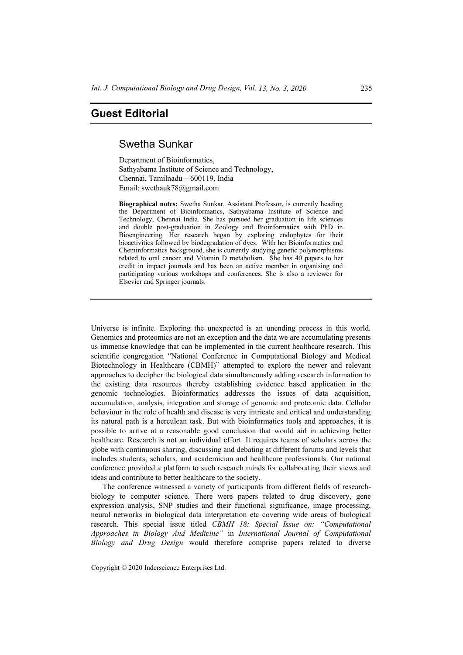## **Guest Editorial**

## Swetha Sunkar

Department of Bioinformatics, Sathyabama Institute of Science and Technology, Chennai, Tamilnadu – 600119, India Email: swethauk78@gmail.com

**Biographical notes:** Swetha Sunkar, Assistant Professor, is currently heading the Department of Bioinformatics, Sathyabama Institute of Science and Technology, Chennai India. She has pursued her graduation in life sciences and double post-graduation in Zoology and Bioinformatics with PhD in Bioengineering. Her research began by exploring endophytes for their bioactivities followed by biodegradation of dyes. With her Bioinformatics and Cheminformatics background, she is currently studying genetic polymorphisms related to oral cancer and Vitamin D metabolism. She has 40 papers to her credit in impact journals and has been an active member in organising and participating various workshops and conferences. She is also a reviewer for Elsevier and Springer journals.

Universe is infinite. Exploring the unexpected is an unending process in this world. Genomics and proteomics are not an exception and the data we are accumulating presents us immense knowledge that can be implemented in the current healthcare research. This scientific congregation "National Conference in Computational Biology and Medical Biotechnology in Healthcare (CBMH)" attempted to explore the newer and relevant approaches to decipher the biological data simultaneously adding research information to the existing data resources thereby establishing evidence based application in the genomic technologies. Bioinformatics addresses the issues of data acquisition, accumulation, analysis, integration and storage of genomic and proteomic data. Cellular behaviour in the role of health and disease is very intricate and critical and understanding its natural path is a herculean task. But with bioinformatics tools and approaches, it is possible to arrive at a reasonable good conclusion that would aid in achieving better healthcare. Research is not an individual effort. It requires teams of scholars across the globe with continuous sharing, discussing and debating at different forums and levels that includes students, scholars, and academician and healthcare professionals. Our national conference provided a platform to such research minds for collaborating their views and ideas and contribute to better healthcare to the society.

The conference witnessed a variety of participants from different fields of researchbiology to computer science. There were papers related to drug discovery, gene expression analysis, SNP studies and their functional significance, image processing, neural networks in biological data interpretation etc covering wide areas of biological research. This special issue titled *CBMH 18: Special Issue on: "Computational Approaches in Biology And Medicine"* in *International Journal of Computational Biology and Drug Design* would therefore comprise papers related to diverse